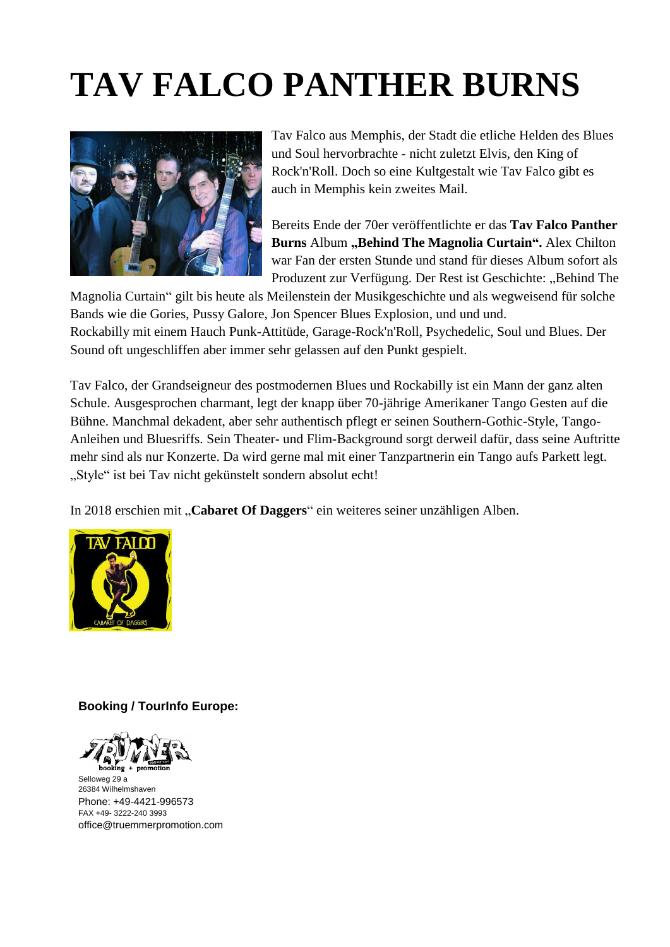## **TAV FALCO PANTHER BURNS**



Tav Falco aus Memphis, der Stadt die etliche Helden des Blues und Soul hervorbrachte - nicht zuletzt Elvis, den King of Rock'n'Roll. Doch so eine Kultgestalt wie Tav Falco gibt es auch in Memphis kein zweites Mail.

Bereits Ende der 70er veröffentlichte er das **Tav Falco Panther Burns** Album **"Behind The Magnolia Curtain".** Alex Chilton war Fan der ersten Stunde und stand für dieses Album sofort als Produzent zur Verfügung. Der Rest ist Geschichte: "Behind The

Magnolia Curtain" gilt bis heute als Meilenstein der Musikgeschichte und als wegweisend für solche Bands wie die Gories, Pussy Galore, Jon Spencer Blues Explosion, und und und. Rockabilly mit einem Hauch Punk-Attitüde, Garage-Rock'n'Roll, Psychedelic, Soul und Blues. Der Sound oft ungeschliffen aber immer sehr gelassen auf den Punkt gespielt.

Tav Falco, der Grandseigneur des postmodernen Blues und Rockabilly ist ein Mann der ganz alten Schule. Ausgesprochen charmant, legt der knapp über 70-jährige Amerikaner Tango Gesten auf die Bühne. Manchmal dekadent, aber sehr authentisch pflegt er seinen Southern-Gothic-Style, Tango-Anleihen und Bluesriffs. Sein Theater- und Flim-Background sorgt derweil dafür, dass seine Auftritte mehr sind als nur Konzerte. Da wird gerne mal mit einer Tanzpartnerin ein Tango aufs Parkett legt. "Style" ist bei Tav nicht gekünstelt sondern absolut echt!

In 2018 erschien mit "Cabaret Of Daggers" ein weiteres seiner unzähligen Alben.



### **Booking / TourInfo Europe:**



Selloweg 29 a 26384 Wilhelmshaven Phone: +49-4421-996573 FAX +49- 3222-240 3993 [office@truemmerpromotion.com](mailto:office@truemmerpromotion.de)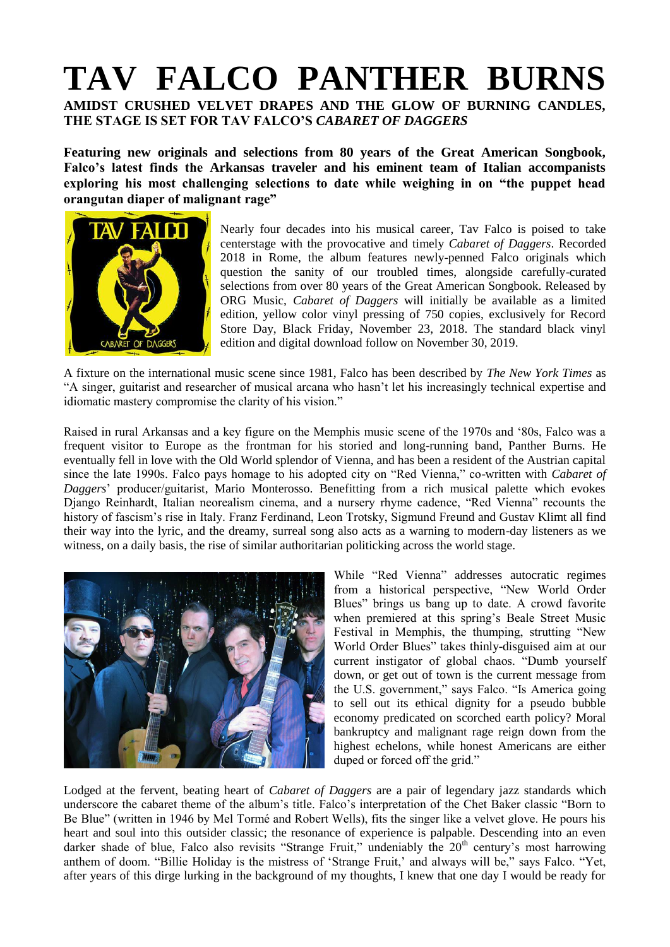# **TAV FALCO PANTHER BURNS**

**AMIDST CRUSHED VELVET DRAPES AND THE GLOW OF BURNING CANDLES, THE STAGE IS SET FOR TAV FALCO'S** *CABARET OF DAGGERS*

**Featuring new originals and selections from 80 years of the Great American Songbook, Falco's latest finds the Arkansas traveler and his eminent team of Italian accompanists exploring his most challenging selections to date while weighing in on "the puppet head orangutan diaper of malignant rage"**



Nearly four decades into his musical career, Tav Falco is poised to take centerstage with the provocative and timely *Cabaret of Daggers*. Recorded 2018 in Rome, the album features newly-penned Falco originals which question the sanity of our troubled times, alongside carefully-curated selections from over 80 years of the Great American Songbook. Released by ORG Music, *Cabaret of Daggers* will initially be available as a limited edition, yellow color vinyl pressing of 750 copies, exclusively for Record Store Day, Black Friday, November 23, 2018. The standard black vinyl edition and digital download follow on November 30, 2019.

A fixture on the international music scene since 1981, Falco has been described by *The New York Times* as "A singer, guitarist and researcher of musical arcana who hasn't let his increasingly technical expertise and idiomatic mastery compromise the clarity of his vision."

Raised in rural Arkansas and a key figure on the Memphis music scene of the 1970s and '80s, Falco was a frequent visitor to Europe as the frontman for his storied and long-running band, Panther Burns. He eventually fell in love with the Old World splendor of Vienna, and has been a resident of the Austrian capital since the late 1990s. Falco pays homage to his adopted city on "Red Vienna," co-written with *Cabaret of Daggers*' producer/guitarist, Mario Monterosso. Benefitting from a rich musical palette which evokes Django Reinhardt, Italian neorealism cinema, and a nursery rhyme cadence, "Red Vienna" recounts the history of fascism's rise in Italy. Franz Ferdinand, Leon Trotsky, Sigmund Freund and Gustav Klimt all find their way into the lyric, and the dreamy, surreal song also acts as a warning to modern-day listeners as we witness, on a daily basis, the rise of similar authoritarian politicking across the world stage.



While "Red Vienna" addresses autocratic regimes from a historical perspective, "New World Order Blues" brings us bang up to date. A crowd favorite when premiered at this spring's Beale Street Music Festival in Memphis, the thumping, strutting "New World Order Blues" takes thinly-disguised aim at our current instigator of global chaos. "Dumb yourself down, or get out of town is the current message from the U.S. government," says Falco. "Is America going to sell out its ethical dignity for a pseudo bubble economy predicated on scorched earth policy? Moral bankruptcy and malignant rage reign down from the highest echelons, while honest Americans are either duped or forced off the grid."

Lodged at the fervent, beating heart of *Cabaret of Daggers* are a pair of legendary jazz standards which underscore the cabaret theme of the album's title. Falco's interpretation of the Chet Baker classic "Born to Be Blue" (written in 1946 by Mel Tormé and Robert Wells), fits the singer like a velvet glove. He pours his heart and soul into this outsider classic; the resonance of experience is palpable. Descending into an even darker shade of blue, Falco also revisits "Strange Fruit," undeniably the 20<sup>th</sup> century's most harrowing anthem of doom. "Billie Holiday is the mistress of 'Strange Fruit,' and always will be," says Falco. "Yet, after years of this dirge lurking in the background of my thoughts, I knew that one day I would be ready for